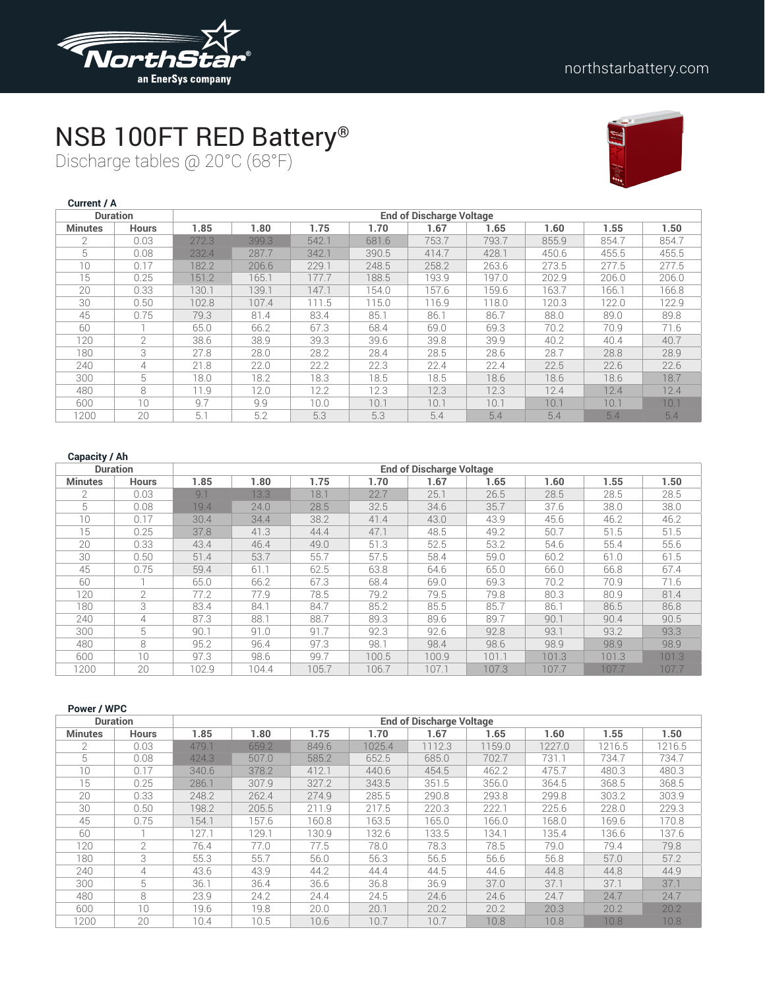

### NSB 100FT RED Battery®

Discharge tables @ 20°C (68°F)



| Current / A    |                 |       |       |       |       |                                 |       |       |       |       |
|----------------|-----------------|-------|-------|-------|-------|---------------------------------|-------|-------|-------|-------|
|                | <b>Duration</b> |       |       |       |       | <b>End of Discharge Voltage</b> |       |       |       |       |
| <b>Minutes</b> | <b>Hours</b>    | 1.85  | 1.80  | 1.75  | 1.70  | 1.67                            | 1.65  | 1.60  | 1.55  | 1.50  |
| $\mathfrak{D}$ | 0.03            | 272.3 | 399.3 | 542.1 | 681.6 | 753.7                           | 793.7 | 855.9 | 854.7 | 854.7 |
| 5              | 0.08            | 232.4 | 287.7 | 342.1 | 390.5 | 414.7                           | 428.1 | 450.6 | 455.5 | 455.5 |
| 10             | 0.17            | 182.2 | 206.6 | 229.1 | 248.5 | 258.2                           | 263.6 | 273.5 | 277.5 | 277.5 |
| 15             | 0.25            | 151.2 | 165.1 | 177.7 | 188.5 | 193.9                           | 197.0 | 202.9 | 206.0 | 206.0 |
| 20             | 0.33            | 130.1 | 139.1 | 147.1 | 154.0 | 157.6                           | 159.6 | 163.7 | 166.1 | 166.8 |
| 30             | 0.50            | 102.8 | 107.4 | 111.5 | 115.0 | 116.9                           | 118.0 | 120.3 | 122.0 | 122.9 |
| 45             | 0.75            | 79.3  | 81.4  | 83.4  | 85.1  | 86.1                            | 86.7  | 88.0  | 89.0  | 89.8  |
| 60             |                 | 65.0  | 66.2  | 67.3  | 68.4  | 69.0                            | 69.3  | 70.2  | 70.9  | 71.6  |
| 120            | $\overline{2}$  | 38.6  | 38.9  | 39.3  | 39.6  | 39.8                            | 39.9  | 40.2  | 40.4  | 40.7  |
| 180            | 3               | 27.8  | 28.0  | 28.2  | 28.4  | 28.5                            | 28.6  | 28.7  | 28.8  | 28.9  |
| 240            | 4               | 21.8  | 22.0  | 22.2  | 22.3  | 22.4                            | 22.4  | 22.5  | 22.6  | 22.6  |
| 300            | 5               | 18.0  | 18.2  | 18.3  | 18.5  | 18.5                            | 18.6  | 18.6  | 18.6  | 18.7  |
| 480            | 8               | 11.9  | 12.0  | 12.2  | 12.3  | 12.3                            | 12.3  | 12.4  | 12.4  | 12.4  |
| 600            | 10              | 9.7   | 9.9   | 10.0  | 10.1  | 10.1                            | 10.1  | 10.1  | 10.1  | 10.1  |
| 1200           | 20              | 5.1   | 5.2   | 5.3   | 5.3   | 5.4                             | 5.4   | 5.4   | 5.4   | 5.4   |

| <b>Duration</b> |                |       |       |       |       | <b>End of Discharge Voltage</b> |       |       |       |       |
|-----------------|----------------|-------|-------|-------|-------|---------------------------------|-------|-------|-------|-------|
| <b>Minutes</b>  | <b>Hours</b>   | 1.85  | 1.80  | 1.75  | 1.70  | 1.67                            | 1.65  | 1.60  | 1.55  | 1.50  |
| $\mathcal{P}$   | 0.03           | 9.1   | 13.3  | 18.1  | 22.7  | 25.1                            | 26.5  | 28.5  | 28.5  | 28.5  |
| 5               | 0.08           | 19.4  | 24.0  | 28.5  | 32.5  | 34.6                            | 35.7  | 37.6  | 38.0  | 38.0  |
| 10 <sup>1</sup> | 0.17           | 30.4  | 34.4  | 38.2  | 41.4  | 43.0                            | 43.9  | 45.6  | 46.2  | 46.2  |
| 15              | 0.25           | 37.8  | 41.3  | 44.4  | 47.1  | 48.5                            | 49.2  | 50.7  | 51.5  | 51.5  |
| 20              | 0.33           | 43.4  | 46.4  | 49.0  | 51.3  | 52.5                            | 53.2  | 54.6  | 55.4  | 55.6  |
| 30              | 0.50           | 51.4  | 53.7  | 55.7  | 57.5  | 58.4                            | 59.0  | 60.2  | 61.0  | 61.5  |
| 45              | 0.75           | 59.4  | 61.1  | 62.5  | 63.8  | 64.6                            | 65.0  | 66.0  | 66.8  | 67.4  |
| 60              |                | 65.0  | 66.2  | 67.3  | 68.4  | 69.0                            | 69.3  | 70.2  | 70.9  | 71.6  |
| 120             | $\overline{2}$ | 77.2  | 77.9  | 78.5  | 79.2  | 79.5                            | 79.8  | 80.3  | 80.9  | 81.4  |
| 180             | 3              | 83.4  | 84.1  | 84.7  | 85.2  | 85.5                            | 85.7  | 86.1  | 86.5  | 86.8  |
| 240             | 4              | 87.3  | 88.1  | 88.7  | 89.3  | 89.6                            | 89.7  | 90.1  | 90.4  | 90.5  |
| 300             | 5              | 90.1  | 91.0  | 91.7  | 92.3  | 92.6                            | 92.8  | 93.1  | 93.2  | 93.3  |
| 480             | 8              | 95.2  | 96.4  | 97.3  | 98.1  | 98.4                            | 98.6  | 98.9  | 98.9  | 98.9  |
| 600             | 10             | 97.3  | 98.6  | 99.7  | 100.5 | 100.9                           | 101.1 | 101.3 | 101.3 | 101.3 |
| 1200            | 20             | 102.9 | 104.4 | 105.7 | 106.7 | 107.1                           | 107.3 | 107.7 | 107.7 | 107.7 |

| Power / WPC    |                 |       |       |       |        |                                 |        |        |        |        |
|----------------|-----------------|-------|-------|-------|--------|---------------------------------|--------|--------|--------|--------|
|                | <b>Duration</b> |       |       |       |        | <b>End of Discharge Voltage</b> |        |        |        |        |
| <b>Minutes</b> | <b>Hours</b>    | 1.85  | 1.80  | 1.75  | 1.70   | 1.67                            | 1.65   | 1.60   | 1.55   | 1.50   |
| $\mathfrak{D}$ | 0.03            | 479.1 | 659.2 | 849.6 | 1025.4 | 1112.3                          | 1159.0 | 1227.0 | 1216.5 | 1216.5 |
| 5              | 0.08            | 424.3 | 507.0 | 585.2 | 652.5  | 685.0                           | 702.7  | 731.1  | 734.7  | 734.7  |
| 10             | 0.17            | 340.6 | 378.2 | 412.1 | 440.6  | 454.5                           | 462.2  | 475.7  | 480.3  | 480.3  |
| 15             | 0.25            | 286.1 | 307.9 | 327.2 | 343.5  | 351.5                           | 356.0  | 364.5  | 368.5  | 368.5  |
| 20             | 0.33            | 248.2 | 262.4 | 274.9 | 285.5  | 290.8                           | 293.8  | 299.8  | 303.2  | 303.9  |
| 30             | 0.50            | 198.2 | 205.5 | 211.9 | 217.5  | 220.3                           | 222.1  | 225.6  | 228.0  | 229.3  |
| 45             | 0.75            | 154.1 | 157.6 | 160.8 | 163.5  | 165.0                           | 166.0  | 168.0  | 169.6  | 170.8  |
| 60             |                 | 127.1 | 129.1 | 130.9 | 132.6  | 133.5                           | 134.1  | 135.4  | 136.6  | 137.6  |
| 120            | 2               | 76.4  | 77.0  | 77.5  | 78.0   | 78.3                            | 78.5   | 79.0   | 79.4   | 79.8   |
| 180            | 3               | 55.3  | 55.7  | 56.0  | 56.3   | 56.5                            | 56.6   | 56.8   | 57.0   | 57.2   |
| 240            | 4               | 43.6  | 43.9  | 44.2  | 44.4   | 44.5                            | 44.6   | 44.8   | 44.8   | 44.9   |
| 300            | 5               | 36.1  | 36.4  | 36.6  | 36.8   | 36.9                            | 37.0   | 37.1   | 37.1   | 37.1   |
| 480            | 8               | 23.9  | 24.2  | 24.4  | 24.5   | 24.6                            | 24.6   | 24.7   | 24.7   | 24.7   |
| 600            | 10              | 19.6  | 19.8  | 20.0  | 20.1   | 20.2                            | 20.2   | 20.3   | 20.2   | 20.2   |
| 1200           | 20              | 10.4  | 10.5  | 10.6  | 10.7   | 10.7                            | 10.8   | 10.8   | 10.8   | 10.8   |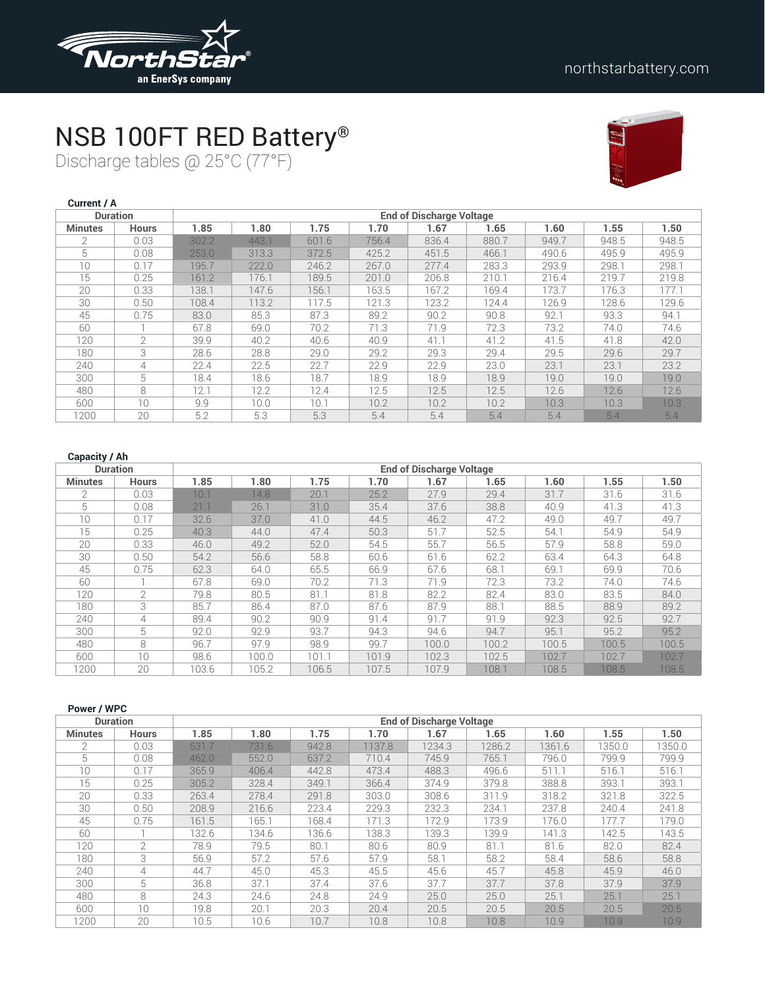

## NSB 100FT RED Battery®

Discharge tables @ 25°C (77°F)



| <b>Current / A</b> |                 |       |       |       |       |                                 |       |       |       |       |
|--------------------|-----------------|-------|-------|-------|-------|---------------------------------|-------|-------|-------|-------|
|                    | <b>Duration</b> |       |       |       |       | <b>End of Discharge Voltage</b> |       |       |       |       |
| <b>Minutes</b>     | <b>Hours</b>    | 1.85  | 1.80  | 1.75  | 1.70  | 1.67                            | 1.65  | 1.60  | 1.55  | 1.50  |
| $\overline{2}$     | 0.03            | 302.2 | 443.1 | 601.6 | 756.4 | 836.4                           | 880.7 | 949.7 | 948.5 | 948.5 |
| 5                  | 0.08            | 253.0 | 313.3 | 372.5 | 425.2 | 451.5                           | 466.1 | 490.6 | 495.9 | 495.9 |
| 10                 | 0.17            | 195.7 | 222.0 | 246.2 | 267.0 | 277.4                           | 283.3 | 293.9 | 298.1 | 298.1 |
| 15                 | 0.25            | 161.2 | 176.1 | 189.5 | 201.0 | 206.8                           | 210.1 | 216.4 | 219.7 | 219.8 |
| 20                 | 0.33            | 138.1 | 147.6 | 156.1 | 163.5 | 167.2                           | 169.4 | 173.7 | 176.3 | 177.1 |
| 30                 | 0.50            | 108.4 | 113.2 | 117.5 | 121.3 | 123.2                           | 124.4 | 126.9 | 128.6 | 129.6 |
| 45                 | 0.75            | 83.0  | 85.3  | 87.3  | 89.2  | 90.2                            | 90.8  | 92.1  | 93.3  | 94.1  |
| 60                 |                 | 67.8  | 69.0  | 70.2  | 71.3  | 71.9                            | 72.3  | 73.2  | 74.0  | 74.6  |
| 120                | $\overline{2}$  | 39.9  | 40.2  | 40.6  | 40.9  | 41.1                            | 41.2  | 41.5  | 41.8  | 42.0  |
| 180                | 3               | 28.6  | 28.8  | 29.0  | 29.2  | 29.3                            | 29.4  | 29.5  | 29.6  | 29.7  |
| 240                | 4               | 22.4  | 22.5  | 22.7  | 22.9  | 22.9                            | 23.0  | 23.1  | 23.1  | 23.2  |
| 300                | 5               | 18.4  | 18.6  | 18.7  | 18.9  | 18.9                            | 18.9  | 19.0  | 19.0  | 19.0  |
| 480                | 8               | 12.1  | 12.2  | 12.4  | 12.5  | 12.5                            | 12.5  | 12.6  | 12.6  | 12.6  |
| 600                | 10              | 9.9   | 10.0  | 10.1  | 10.2  | 10.2                            | 10.2  | 10.3  | 10.3  | 10.3  |
| 1200               | 20              | 5.2   | 5.3   | 5.3   | 5.4   | 5.4                             | 5.4   | 5.4   | 5.4   | 5.4   |

| <b>Duration</b> |               |       |       |       |       | <b>End of Discharge Voltage</b> |       |       |       |       |  |  |  |
|-----------------|---------------|-------|-------|-------|-------|---------------------------------|-------|-------|-------|-------|--|--|--|
| <b>Minutes</b>  | <b>Hours</b>  | 1.85  | 1.80  | 1.75  | 1.70  | 1.67                            | 1.65  | 1.60  | 1.55  | 1.50  |  |  |  |
| $\mathcal{P}$   | 0.03          | 10.1  | 14.8  | 20.1  | 25.2  | 27.9                            | 29.4  | 31.7  | 31.6  | 31.6  |  |  |  |
| 5               | 0.08          | 21.1  | 26.1  | 31.0  | 35.4  | 37.6                            | 38.8  | 40.9  | 41.3  | 41.3  |  |  |  |
| 10              | 0.17          | 32.6  | 37.0  | 41.0  | 44.5  | 46.2                            | 47.2  | 49.0  | 49.7  | 49.7  |  |  |  |
| 15              | 0.25          | 40.3  | 44.0  | 47.4  | 50.3  | 51.7                            | 52.5  | 54.1  | 54.9  | 54.9  |  |  |  |
| 20              | 0.33          | 46.0  | 49.2  | 52.0  | 54.5  | 55.7                            | 56.5  | 57.9  | 58.8  | 59.0  |  |  |  |
| 30              | 0.50          | 54.2  | 56.6  | 58.8  | 60.6  | 61.6                            | 62.2  | 63.4  | 64.3  | 64.8  |  |  |  |
| 45              | 0.75          | 62.3  | 64.0  | 65.5  | 66.9  | 67.6                            | 68.1  | 69.1  | 69.9  | 70.6  |  |  |  |
| 60              |               | 67.8  | 69.0  | 70.2  | 71.3  | 71.9                            | 72.3  | 73.2  | 74.0  | 74.6  |  |  |  |
| 120             | $\mathcal{L}$ | 79.8  | 80.5  | 81.1  | 81.8  | 82.2                            | 82.4  | 83.0  | 83.5  | 84.0  |  |  |  |
| 180             | 3             | 85.7  | 86.4  | 87.0  | 87.6  | 87.9                            | 88.1  | 88.5  | 88.9  | 89.2  |  |  |  |
| 240             | 4             | 89.4  | 90.2  | 90.9  | 91.4  | 91.7                            | 91.9  | 92.3  | 92.5  | 92.7  |  |  |  |
| 300             | 5             | 92.0  | 92.9  | 93.7  | 94.3  | 94.6                            | 94.7  | 95.1  | 95.2  | 95.2  |  |  |  |
| 480             | 8             | 96.7  | 97.9  | 98.9  | 99.7  | 100.0                           | 100.2 | 100.5 | 100.5 | 100.5 |  |  |  |
| 600             | 10            | 98.6  | 100.0 | 101.1 | 101.9 | 102.3                           | 102.5 | 102.7 | 102.7 | 102.7 |  |  |  |
| 1200            | 20            | 103.6 | 105.2 | 106.5 | 107.5 | 107.9                           | 108.1 | 108.5 | 108.5 | 108.5 |  |  |  |

| Power / WPC    |                 |       |       |       |        |                                 |        |        |        |                   |
|----------------|-----------------|-------|-------|-------|--------|---------------------------------|--------|--------|--------|-------------------|
|                | <b>Duration</b> |       |       |       |        | <b>End of Discharge Voltage</b> |        |        |        |                   |
| <b>Minutes</b> | <b>Hours</b>    | 1.85  | 1.80  | 1.75  | 1.70   | 1.67                            | 1.65   | 1.60   | 1.55   | 1.50              |
| $\mathfrak{D}$ | 0.03            | 531.7 | 731.6 | 942.8 | 1137.8 | 1234.3                          | 1286.2 | 1361.6 | 1350.0 | 1350.0            |
| 5              | 0.08            | 462.0 | 552.0 | 637.2 | 710.4  | 745.9                           | 765.1  | 796.0  | 799.9  | 799.9             |
| 10             | 0.17            | 365.9 | 406.4 | 442.8 | 473.4  | 488.3                           | 496.6  | 511.1  | 516.1  | 516.1             |
| 15             | 0.25            | 305.2 | 328.4 | 349.1 | 366.4  | 374.9                           | 379.8  | 388.8  | 393.1  | 393.1             |
| 20             | 0.33            | 263.4 | 278.4 | 291.8 | 303.0  | 308.6                           | 311.9  | 318.2  | 321.8  | 322.5             |
| 30             | 0.50            | 208.9 | 216.6 | 223.4 | 229.3  | 232.3                           | 234.1  | 237.8  | 240.4  | 241.8             |
| 45             | 0.75            | 161.5 | 165.1 | 168.4 | 171.3  | 172.9                           | 173.9  | 176.0  | 177.7  | 179.0             |
| 60             |                 | 132.6 | 134.6 | 136.6 | 138.3  | 139.3                           | 139.9  | 141.3  | 142.5  | 143.5             |
| 120            | 2               | 78.9  | 79.5  | 80.1  | 80.6   | 80.9                            | 81.1   | 81.6   | 82.0   | 82.4              |
| 180            | 3               | 56.9  | 57.2  | 57.6  | 57.9   | 58.1                            | 58.2   | 58.4   | 58.6   | 58.8              |
| 240            | 4               | 44.7  | 45.0  | 45.3  | 45.5   | 45.6                            | 45.7   | 45.8   | 45.9   | 46.0              |
| 300            | 5               | 36.8  | 37.1  | 37.4  | 37.6   | 37.7                            | 37.7   | 37.8   | 37.9   | 37.9              |
| 480            | 8               | 24.3  | 24.6  | 24.8  | 24.9   | 25.0                            | 25.0   | 25.1   | 25.1   | 25.1              |
| 600            | 10              | 19.8  | 20.1  | 20.3  | 20.4   | 20.5                            | 20.5   | 20.5   | 20.5   | 20.5              |
| 1200           | 20              | 10.5  | 10.6  | 10.7  | 10.8   | 10.8                            | 10.8   | 10.9   | 10.9   | 10.9 <sup>°</sup> |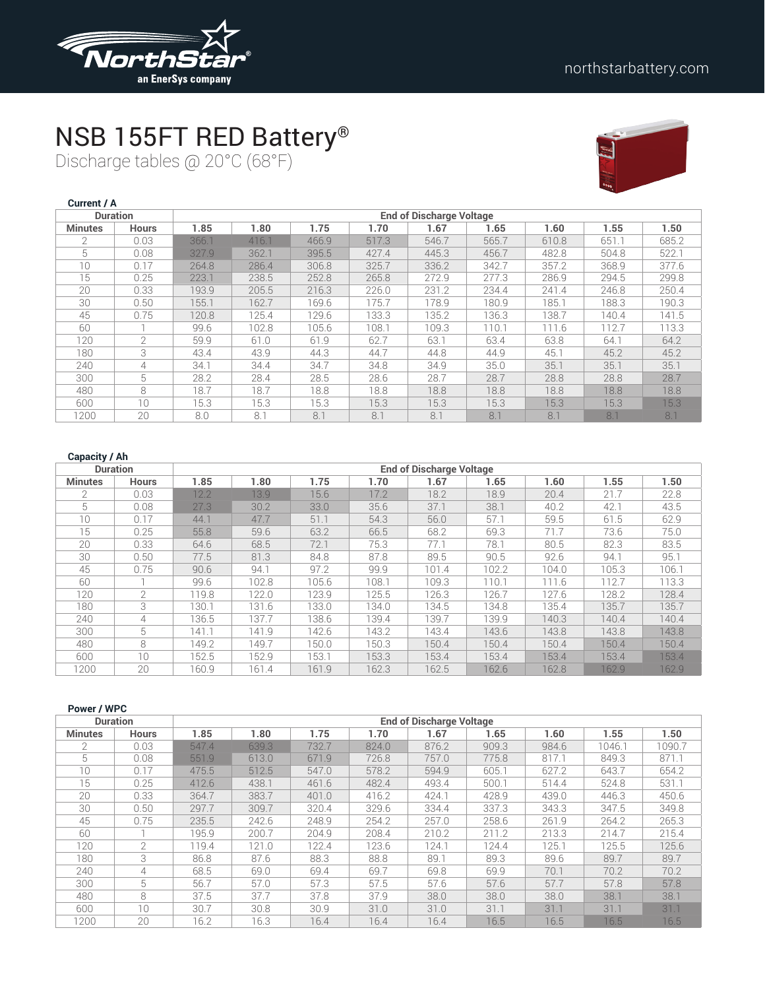

## NSB 155FT RED Battery®

Discharge tables @ 20°C (68°F)



| Current / A    |                 |       |       |       |       |                                 |       |       |       |       |
|----------------|-----------------|-------|-------|-------|-------|---------------------------------|-------|-------|-------|-------|
|                | <b>Duration</b> |       |       |       |       | <b>End of Discharge Voltage</b> |       |       |       |       |
| <b>Minutes</b> | <b>Hours</b>    | 1.85  | 1.80  | 1.75  | 1.70  | 1.67                            | 1.65  | 1.60  | 1.55  | 1.50  |
| $\mathfrak{D}$ | 0.03            | 366.1 | 416.1 | 466.9 | 517.3 | 546.7                           | 565.7 | 610.8 | 651.1 | 685.2 |
| 5              | 0.08            | 327.9 | 362.1 | 395.5 | 427.4 | 445.3                           | 456.7 | 482.8 | 504.8 | 522.1 |
| 10             | 0.17            | 264.8 | 286.4 | 306.8 | 325.7 | 336.2                           | 342.7 | 357.2 | 368.9 | 377.6 |
| 15             | 0.25            | 223.1 | 238.5 | 252.8 | 265.8 | 272.9                           | 277.3 | 286.9 | 294.5 | 299.8 |
| 20             | 0.33            | 193.9 | 205.5 | 216.3 | 226.0 | 231.2                           | 234.4 | 241.4 | 246.8 | 250.4 |
| 30             | 0.50            | 155.1 | 162.7 | 169.6 | 175.7 | 178.9                           | 180.9 | 185.1 | 188.3 | 190.3 |
| 45             | 0.75            | 120.8 | 125.4 | 129.6 | 133.3 | 135.2                           | 136.3 | 138.7 | 140.4 | 141.5 |
| 60             |                 | 99.6  | 102.8 | 105.6 | 108.1 | 109.3                           | 110.1 | 111.6 | 112.7 | 113.3 |
| 120            | $\overline{2}$  | 59.9  | 61.0  | 61.9  | 62.7  | 63.1                            | 63.4  | 63.8  | 64.1  | 64.2  |
| 180            | 3               | 43.4  | 43.9  | 44.3  | 44.7  | 44.8                            | 44.9  | 45.1  | 45.2  | 45.2  |
| 240            | 4               | 34.1  | 34.4  | 34.7  | 34.8  | 34.9                            | 35.0  | 35.1  | 35.1  | 35.1  |
| 300            | 5               | 28.2  | 28.4  | 28.5  | 28.6  | 28.7                            | 28.7  | 28.8  | 28.8  | 28.7  |
| 480            | 8               | 18.7  | 18.7  | 18.8  | 18.8  | 18.8                            | 18.8  | 18.8  | 18.8  | 18.8  |
| 600            | 10              | 15.3  | 15.3  | 15.3  | 15.3  | 15.3                            | 15.3  | 15.3  | 15.3  | 15.3  |
| 1200           | 20              | 8.0   | 8.1   | 8.1   | 8.1   | 8.1                             | 8.1   | 8.1   | 8.1   | 8.1   |

| <b>Duration</b> |                |       |       |       |       | <b>End of Discharge Voltage</b> |       |       |       |       |  |  |
|-----------------|----------------|-------|-------|-------|-------|---------------------------------|-------|-------|-------|-------|--|--|
| <b>Minutes</b>  | <b>Hours</b>   | 1.85  | 1.80  | 1.75  | 1.70  | 1.67                            | 1.65  | 1.60  | 1.55  | 1.50  |  |  |
| $\mathcal{P}$   | 0.03           | 12.2  | 13.9  | 15.6  | 17.2  | 18.2                            | 18.9  | 20.4  | 21.7  | 22.8  |  |  |
| 5               | 0.08           | 27.3  | 30.2  | 33.0  | 35.6  | 37.1                            | 38.1  | 40.2  | 42.1  | 43.5  |  |  |
| 10              | 0.17           | 44.1  | 47.7  | 51.1  | 54.3  | 56.0                            | 57.1  | 59.5  | 61.5  | 62.9  |  |  |
| 15              | 0.25           | 55.8  | 59.6  | 63.2  | 66.5  | 68.2                            | 69.3  | 71.7  | 73.6  | 75.0  |  |  |
| 20              | 0.33           | 64.6  | 68.5  | 72.1  | 75.3  | 77.1                            | 78.1  | 80.5  | 82.3  | 83.5  |  |  |
| 30              | 0.50           | 77.5  | 81.3  | 84.8  | 87.8  | 89.5                            | 90.5  | 92.6  | 94.1  | 95.1  |  |  |
| 45              | 0.75           | 90.6  | 94.1  | 97.2  | 99.9  | 101.4                           | 102.2 | 104.0 | 105.3 | 106.1 |  |  |
| 60              |                | 99.6  | 102.8 | 105.6 | 108.1 | 109.3                           | 110.1 | 111.6 | 112.7 | 113.3 |  |  |
| 120             | $\overline{2}$ | 119.8 | 122.0 | 123.9 | 125.5 | 126.3                           | 126.7 | 127.6 | 128.2 | 128.4 |  |  |
| 180             | 3              | 130.1 | 131.6 | 133.0 | 134.0 | 134.5                           | 134.8 | 135.4 | 135.7 | 135.7 |  |  |
| 240             | 4              | 136.5 | 137.7 | 138.6 | 139.4 | 139.7                           | 139.9 | 140.3 | 140.4 | 140.4 |  |  |
| 300             | 5              | 41.1  | 141.9 | 142.6 | 143.2 | 143.4                           | 143.6 | 143.8 | 143.8 | 143.8 |  |  |
| 480             | 8              | 149.2 | 149.7 | 150.0 | 150.3 | 150.4                           | 150.4 | 150.4 | 150.4 | 150.4 |  |  |
| 600             | $10^{\circ}$   | 152.5 | 152.9 | 153.1 | 153.3 | 153.4                           | 153.4 | 153.4 | 153.4 | 153.4 |  |  |
| 1200            | 20             | 160.9 | 161.4 | 161.9 | 162.3 | 162.5                           | 162.6 | 162.8 | 162.9 | 162.9 |  |  |

| Power / WPC    |                 |       |       |       |       |                                 |       |       |        |        |
|----------------|-----------------|-------|-------|-------|-------|---------------------------------|-------|-------|--------|--------|
|                | <b>Duration</b> |       |       |       |       | <b>End of Discharge Voltage</b> |       |       |        |        |
| <b>Minutes</b> | <b>Hours</b>    | 1.85  | 1.80  | 1.75  | 1.70  | 1.67                            | 1.65  | 1.60  | 1.55   | 1.50   |
| $\mathfrak{D}$ | 0.03            | 547.4 | 639.3 | 732.7 | 824.0 | 876.2                           | 909.3 | 984.6 | 1046.1 | 1090.7 |
| 5              | 0.08            | 551.9 | 613.0 | 671.9 | 726.8 | 757.0                           | 775.8 | 817.1 | 849.3  | 871.1  |
| 10             | 0.17            | 475.5 | 512.5 | 547.0 | 578.2 | 594.9                           | 605.1 | 627.2 | 643.7  | 654.2  |
| 15             | 0.25            | 412.6 | 438.1 | 461.6 | 482.4 | 493.4                           | 500.1 | 514.4 | 524.8  | 531.1  |
| 20             | 0.33            | 364.7 | 383.7 | 401.0 | 416.2 | 424.1                           | 428.9 | 439.0 | 446.3  | 450.6  |
| 30             | 0.50            | 297.7 | 309.7 | 320.4 | 329.6 | 334.4                           | 337.3 | 343.3 | 347.5  | 349.8  |
| 45             | 0.75            | 235.5 | 242.6 | 248.9 | 254.2 | 257.0                           | 258.6 | 261.9 | 264.2  | 265.3  |
| 60             |                 | 195.9 | 200.7 | 204.9 | 208.4 | 210.2                           | 211.2 | 213.3 | 214.7  | 215.4  |
| 120            | 2               | 119.4 | 121.0 | 122.4 | 123.6 | 124.1                           | 124.4 | 125.1 | 125.5  | 125.6  |
| 180            | 3               | 86.8  | 87.6  | 88.3  | 88.8  | 89.1                            | 89.3  | 89.6  | 89.7   | 89.7   |
| 240            | 4               | 68.5  | 69.0  | 69.4  | 69.7  | 69.8                            | 69.9  | 70.1  | 70.2   | 70.2   |
| 300            | 5               | 56.7  | 57.0  | 57.3  | 57.5  | 57.6                            | 57.6  | 57.7  | 57.8   | 57.8   |
| 480            | 8               | 37.5  | 37.7  | 37.8  | 37.9  | 38.0                            | 38.0  | 38.0  | 38.1   | 38.1   |
| 600            | 10              | 30.7  | 30.8  | 30.9  | 31.0  | 31.0                            | 31.1  | 31.1  | 31.1   | 31.1   |
| 1200           | 20              | 16.2  | 16.3  | 16.4  | 16.4  | 16.4                            | 16.5  | 16.5  | 16.5   | 16.5   |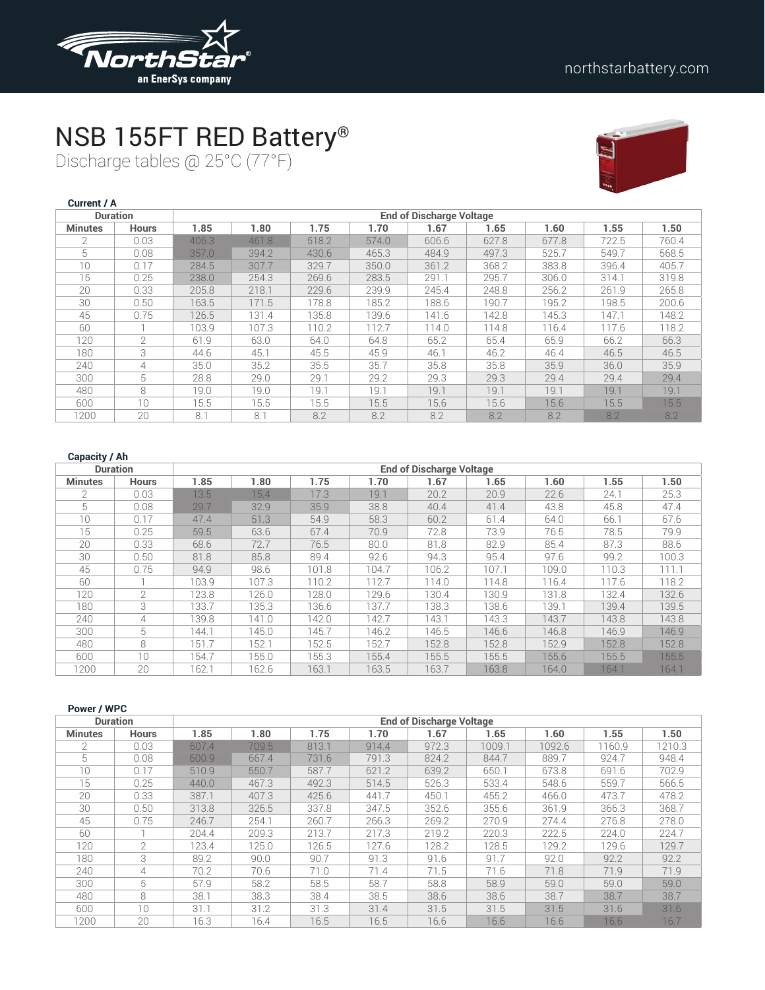

## NSB 155FT RED Battery®

Discharge tables @ 25°C (77°F)



| Current / A    |                 |       |       |       |       |                                 |       |       |       |       |
|----------------|-----------------|-------|-------|-------|-------|---------------------------------|-------|-------|-------|-------|
|                | <b>Duration</b> |       |       |       |       | <b>End of Discharge Voltage</b> |       |       |       |       |
| <b>Minutes</b> | <b>Hours</b>    | 1.85  | 1.80  | 1.75  | 1.70  | 1.67                            | 1.65  | 1.60  | 1.55  | 1.50  |
| $\mathfrak{D}$ | 0.03            | 406.3 | 461.8 | 518.2 | 574.0 | 606.6                           | 627.8 | 677.8 | 722.5 | 760.4 |
| 5              | 0.08            | 357.0 | 394.2 | 430.6 | 465.3 | 484.9                           | 497.3 | 525.7 | 549.7 | 568.5 |
| 10             | 0.17            | 284.5 | 307.7 | 329.7 | 350.0 | 361.2                           | 368.2 | 383.8 | 396.4 | 405.7 |
| 15             | 0.25            | 238.0 | 254.3 | 269.6 | 283.5 | 291.1                           | 295.7 | 306.0 | 314.1 | 319.8 |
| 20             | 0.33            | 205.8 | 218.1 | 229.6 | 239.9 | 245.4                           | 248.8 | 256.2 | 261.9 | 265.8 |
| 30             | 0.50            | 163.5 | 171.5 | 178.8 | 185.2 | 188.6                           | 190.7 | 195.2 | 198.5 | 200.6 |
| 45             | 0.75            | 126.5 | 131.4 | 135.8 | 139.6 | 141.6                           | 142.8 | 145.3 | 147.1 | 148.2 |
| 60             |                 | 103.9 | 107.3 | 110.2 | 112.7 | 114.0                           | 114.8 | 116.4 | 117.6 | 118.2 |
| 120            | $\overline{2}$  | 61.9  | 63.0  | 64.0  | 64.8  | 65.2                            | 65.4  | 65.9  | 66.2  | 66.3  |
| 180            | 3               | 44.6  | 45.1  | 45.5  | 45.9  | 46.1                            | 46.2  | 46.4  | 46.5  | 46.5  |
| 240            | 4               | 35.0  | 35.2  | 35.5  | 35.7  | 35.8                            | 35.8  | 35.9  | 36.0  | 35.9  |
| 300            | 5               | 28.8  | 29.0  | 29.1  | 29.2  | 29.3                            | 29.3  | 29.4  | 29.4  | 29.4  |
| 480            | 8               | 19.0  | 19.0  | 19.1  | 19.1  | 19.1                            | 19.1  | 19.1  | 19.1  | 19.1  |
| 600            | 10              | 15.5  | 15.5  | 15.5  | 15.5  | 15.6                            | 15.6  | 15.6  | 15.5  | 15.5  |
| 1200           | 20              | 8.1   | 8.1   | 8.2   | 8.2   | 8.2                             | 8.2   | 8.2   | 8.2   | 8.2   |

| <b>Duration</b> |                |       |       | <b>End of Discharge Voltage</b> |       |       |       |       |       |       |
|-----------------|----------------|-------|-------|---------------------------------|-------|-------|-------|-------|-------|-------|
| <b>Minutes</b>  | <b>Hours</b>   | 1.85  | 1.80  | 1.75                            | 1.70  | 1.67  | 1.65  | 1.60  | 1.55  | 1.50  |
| $\mathcal{P}$   | 0.03           | 13.5  | 15.4  | 17.3                            | 19.1  | 20.2  | 20.9  | 22.6  | 24.1  | 25.3  |
| 5               | 0.08           | 29.7  | 32.9  | 35.9                            | 38.8  | 40.4  | 41.4  | 43.8  | 45.8  | 47.4  |
| 10              | 0.17           | 47.4  | 51.3  | 54.9                            | 58.3  | 60.2  | 61.4  | 64.0  | 66.1  | 67.6  |
| 15              | 0.25           | 59.5  | 63.6  | 67.4                            | 70.9  | 72.8  | 73.9  | 76.5  | 78.5  | 79.9  |
| 20              | 0.33           | 68.6  | 72.7  | 76.5                            | 80.0  | 81.8  | 82.9  | 85.4  | 87.3  | 88.6  |
| 30              | 0.50           | 81.8  | 85.8  | 89.4                            | 92.6  | 94.3  | 95.4  | 97.6  | 99.2  | 100.3 |
| 45              | 0.75           | 94.9  | 98.6  | 101.8                           | 104.7 | 106.2 | 107.1 | 109.0 | 110.3 | 111.1 |
| 60              |                | 103.9 | 107.3 | 110.2                           | 112.7 | 114.0 | 114.8 | 116.4 | 117.6 | 118.2 |
| 120             | $\overline{2}$ | 123.8 | 126.0 | 128.0                           | 129.6 | 130.4 | 130.9 | 131.8 | 132.4 | 132.6 |
| 180             | 3              | 133.7 | 135.3 | 136.6                           | 137.7 | 138.3 | 138.6 | 139.1 | 139.4 | 139.5 |
| 240             | 4              | 139.8 | 141.0 | 142.0                           | 142.7 | 143.1 | 143.3 | 143.7 | 143.8 | 143.8 |
| 300             | 5              | 144.1 | 145.0 | 145.7                           | 146.2 | 146.5 | 146.6 | 146.8 | 146.9 | 146.9 |
| 480             | 8              | 151.7 | 152.1 | 152.5                           | 152.7 | 152.8 | 152.8 | 152.9 | 152.8 | 152.8 |
| 600             | $10^{\circ}$   | 154.7 | 155.0 | 155.3                           | 155.4 | 155.5 | 155.5 | 155.6 | 155.5 | 155.5 |
| 1200            | 20             | 162.1 | 162.6 | 163.1                           | 163.5 | 163.7 | 163.8 | 164.0 | 164.1 | 164.1 |

| Power / WPC    |                 |       |       |       |       |                                 |        |        |        |        |
|----------------|-----------------|-------|-------|-------|-------|---------------------------------|--------|--------|--------|--------|
|                | <b>Duration</b> |       |       |       |       | <b>End of Discharge Voltage</b> |        |        |        |        |
| <b>Minutes</b> | <b>Hours</b>    | 1.85  | 1.80  | 1.75  | 1.70  | 1.67                            | 1.65   | 1.60   | 1.55   | 1.50   |
| $\overline{2}$ | 0.03            | 607.4 | 709.5 | 813.1 | 914.4 | 972.3                           | 1009.1 | 1092.6 | 1160.9 | 1210.3 |
| 5              | 0.08            | 600.9 | 667.4 | 731.6 | 791.3 | 824.2                           | 844.7  | 889.7  | 924.7  | 948.4  |
| 10             | 0.17            | 510.9 | 550.7 | 587.7 | 621.2 | 639.2                           | 650.1  | 673.8  | 691.6  | 702.9  |
| 15             | 0.25            | 440.0 | 467.3 | 492.3 | 514.5 | 526.3                           | 533.4  | 548.6  | 559.7  | 566.5  |
| 20             | 0.33            | 387.1 | 407.3 | 425.6 | 441.7 | 450.1                           | 455.2  | 466.0  | 473.7  | 478.2  |
| 30             | 0.50            | 313.8 | 326.5 | 337.8 | 347.5 | 352.6                           | 355.6  | 361.9  | 366.3  | 368.7  |
| 45             | 0.75            | 246.7 | 254.1 | 260.7 | 266.3 | 269.2                           | 270.9  | 274.4  | 276.8  | 278.0  |
| 60             |                 | 204.4 | 209.3 | 213.7 | 217.3 | 219.2                           | 220.3  | 222.5  | 224.0  | 224.7  |
| 120            | 2               | 123.4 | 125.0 | 126.5 | 127.6 | 128.2                           | 128.5  | 129.2  | 129.6  | 129.7  |
| 180            | 3               | 89.2  | 90.0  | 90.7  | 91.3  | 91.6                            | 91.7   | 92.0   | 92.2   | 92.2   |
| 240            | 4               | 70.2  | 70.6  | 71.0  | 71.4  | 71.5                            | 71.6   | 71.8   | 71.9   | 71.9   |
| 300            | 5               | 57.9  | 58.2  | 58.5  | 58.7  | 58.8                            | 58.9   | 59.0   | 59.0   | 59.0   |
| 480            | 8               | 38.1  | 38.3  | 38.4  | 38.5  | 38.6                            | 38.6   | 38.7   | 38.7   | 38.7   |
| 600            | 10              | 31.1  | 31.2  | 31.3  | 31.4  | 31.5                            | 31.5   | 31.5   | 31.6   | 31.6   |
| 1200           | 20              | 16.3  | 16.4  | 16.5  | 16.5  | 16.6                            | 16.6   | 16.6   | 16.6   | 16.7   |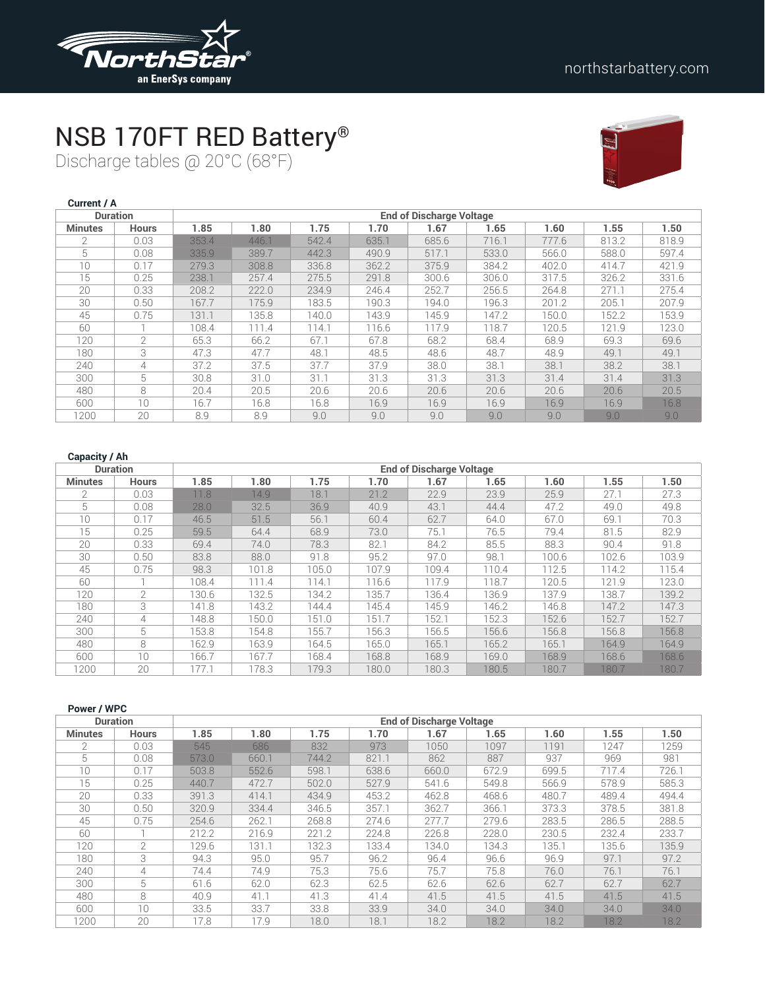

## NSB 170FT RED Battery®

Discharge tables @ 20°C (68°F)



| Current / A    |                 |       |       |       |       |                                 |       |       |       |       |
|----------------|-----------------|-------|-------|-------|-------|---------------------------------|-------|-------|-------|-------|
|                | <b>Duration</b> |       |       |       |       | <b>End of Discharge Voltage</b> |       |       |       |       |
| <b>Minutes</b> | <b>Hours</b>    | 1.85  | 1.80  | 1.75  | 1.70  | 1.67                            | 1.65  | 1.60  | 1.55  | 1.50  |
| $\mathfrak{D}$ | 0.03            | 353.4 | 446.1 | 542.4 | 635.1 | 685.6                           | 716.1 | 777.6 | 813.2 | 818.9 |
| 5              | 0.08            | 335.9 | 389.7 | 442.3 | 490.9 | 517.1                           | 533.0 | 566.0 | 588.0 | 597.4 |
| 10             | 0.17            | 279.3 | 308.8 | 336.8 | 362.2 | 375.9                           | 384.2 | 402.0 | 414.7 | 421.9 |
| 15             | 0.25            | 238.1 | 257.4 | 275.5 | 291.8 | 300.6                           | 306.0 | 317.5 | 326.2 | 331.6 |
| 20             | 0.33            | 208.2 | 222.0 | 234.9 | 246.4 | 252.7                           | 256.5 | 264.8 | 271.1 | 275.4 |
| 30             | 0.50            | 167.7 | 175.9 | 183.5 | 190.3 | 194.0                           | 196.3 | 201.2 | 205.1 | 207.9 |
| 45             | 0.75            | 131.1 | 135.8 | 140.0 | 143.9 | 145.9                           | 147.2 | 150.0 | 152.2 | 153.9 |
| 60             |                 | 108.4 | 111.4 | 114.1 | 116.6 | 117.9                           | 118.7 | 120.5 | 121.9 | 123.0 |
| 120            | $\overline{2}$  | 65.3  | 66.2  | 67.1  | 67.8  | 68.2                            | 68.4  | 68.9  | 69.3  | 69.6  |
| 180            | 3               | 47.3  | 47.7  | 48.1  | 48.5  | 48.6                            | 48.7  | 48.9  | 49.1  | 49.1  |
| 240            | 4               | 37.2  | 37.5  | 37.7  | 37.9  | 38.0                            | 38.1  | 38.1  | 38.2  | 38.1  |
| 300            | 5               | 30.8  | 31.0  | 31.1  | 31.3  | 31.3                            | 31.3  | 31.4  | 31.4  | 31.3  |
| 480            | 8               | 20.4  | 20.5  | 20.6  | 20.6  | 20.6                            | 20.6  | 20.6  | 20.6  | 20.5  |
| 600            | 10              | 16.7  | 16.8  | 16.8  | 16.9  | 16.9                            | 16.9  | 16.9  | 16.9  | 16.8  |
| 1200           | 20              | 8.9   | 8.9   | 9.0   | 9.0   | 9.0                             | 9.0   | 9.0   | 9.0   | 9.0   |

| <b>Duration</b> |               |       |       |       |       | <b>End of Discharge Voltage</b> |       |       |       |       |
|-----------------|---------------|-------|-------|-------|-------|---------------------------------|-------|-------|-------|-------|
| <b>Minutes</b>  | <b>Hours</b>  | 1.85  | 1.80  | 1.75  | 1.70  | 1.67                            | 1.65  | 1.60  | 1.55  | 1.50  |
| $\mathcal{P}$   | 0.03          | 11.8  | 14.9  | 18.1  | 21.2  | 22.9                            | 23.9  | 25.9  | 27.1  | 27.3  |
| 5               | 0.08          | 28.0  | 32.5  | 36.9  | 40.9  | 43.1                            | 44.4  | 47.2  | 49.0  | 49.8  |
| 10              | 0.17          | 46.5  | 51.5  | 56.1  | 60.4  | 62.7                            | 64.0  | 67.0  | 69.1  | 70.3  |
| 15              | 0.25          | 59.5  | 64.4  | 68.9  | 73.0  | 75.1                            | 76.5  | 79.4  | 81.5  | 82.9  |
| 20              | 0.33          | 69.4  | 74.0  | 78.3  | 82.1  | 84.2                            | 85.5  | 88.3  | 90.4  | 91.8  |
| 30              | 0.50          | 83.8  | 88.0  | 91.8  | 95.2  | 97.0                            | 98.1  | 100.6 | 102.6 | 103.9 |
| 45              | 0.75          | 98.3  | 101.8 | 105.0 | 107.9 | 109.4                           | 110.4 | 112.5 | 114.2 | 115.4 |
| 60              |               | 108.4 | 111.4 | 114.1 | 116.6 | 117.9                           | 118.7 | 120.5 | 121.9 | 123.0 |
| 120             | $\mathcal{L}$ | 130.6 | 132.5 | 134.2 | 135.7 | 136.4                           | 136.9 | 137.9 | 138.7 | 139.2 |
| 180             | 3             | 41.8  | 143.2 | 144.4 | 145.4 | 145.9                           | 146.2 | 146.8 | 147.2 | 147.3 |
| 240             | 4             | 148.8 | 150.0 | 151.0 | 151.7 | 152.1                           | 152.3 | 152.6 | 152.7 | 152.7 |
| 300             | 5             | 153.8 | 154.8 | 155.7 | 156.3 | 156.5                           | 156.6 | 156.8 | 156.8 | 156.8 |
| 480             | 8             | 162.9 | 163.9 | 164.5 | 165.0 | 165.1                           | 165.2 | 165.1 | 164.9 | 164.9 |
| 600             | $10^{\circ}$  | 166.7 | 167.7 | 168.4 | 168.8 | 168.9                           | 169.0 | 168.9 | 168.6 | 168.6 |
| 1200            | 20            | 77.1  | 178.3 | 179.3 | 180.0 | 180.3                           | 180.5 | 180.7 | 180.7 | 180.7 |

| Power / WPC    |                 |       |       |       |       |                                 |       |       |       |       |
|----------------|-----------------|-------|-------|-------|-------|---------------------------------|-------|-------|-------|-------|
|                | <b>Duration</b> |       |       |       |       | <b>End of Discharge Voltage</b> |       |       |       |       |
| <b>Minutes</b> | <b>Hours</b>    | 1.85  | 1.80  | 1.75  | 1.70  | 1.67                            | 1.65  | 1.60  | 1.55  | 1.50  |
| 2              | 0.03            | 545   | 686   | 832   | 973   | 1050                            | 1097  | 1191  | 1247  | 1259  |
| 5              | 0.08            | 573.0 | 660.1 | 744.2 | 821.1 | 862                             | 887   | 937   | 969   | 981   |
| 10             | 0.17            | 503.8 | 552.6 | 598.1 | 638.6 | 660.0                           | 672.9 | 699.5 | 717.4 | 726.1 |
| 15             | 0.25            | 440.7 | 472.7 | 502.0 | 527.9 | 541.6                           | 549.8 | 566.9 | 578.9 | 585.3 |
| 20             | 0.33            | 391.3 | 414.1 | 434.9 | 453.2 | 462.8                           | 468.6 | 480.7 | 489.4 | 494.4 |
| 30             | 0.50            | 320.9 | 334.4 | 346.5 | 357.1 | 362.7                           | 366.1 | 373.3 | 378.5 | 381.8 |
| 45             | 0.75            | 254.6 | 262.1 | 268.8 | 274.6 | 277.7                           | 279.6 | 283.5 | 286.5 | 288.5 |
| 60             |                 | 212.2 | 216.9 | 221.2 | 224.8 | 226.8                           | 228.0 | 230.5 | 232.4 | 233.7 |
| 120            | $\mathcal{P}$   | 129.6 | 131.1 | 132.3 | 133.4 | 134.0                           | 134.3 | 135.1 | 135.6 | 135.9 |
| 180            | 3               | 94.3  | 95.0  | 95.7  | 96.2  | 96.4                            | 96.6  | 96.9  | 97.1  | 97.2  |
| 240            | 4               | 74.4  | 74.9  | 75.3  | 75.6  | 75.7                            | 75.8  | 76.0  | 76.1  | 76.1  |
| 300            | 5               | 61.6  | 62.0  | 62.3  | 62.5  | 62.6                            | 62.6  | 62.7  | 62.7  | 62.7  |
| 480            | 8               | 40.9  | 41.1  | 41.3  | 41.4  | 41.5                            | 41.5  | 41.5  | 41.5  | 41.5  |
| 600            | 10              | 33.5  | 33.7  | 33.8  | 33.9  | 34.0                            | 34.0  | 34.0  | 34.0  | 34.0  |
| 1200           | 20              | 17.8  | 17.9  | 18.0  | 18.1  | 18.2                            | 18.2  | 18.2  | 18.2  | 18.2  |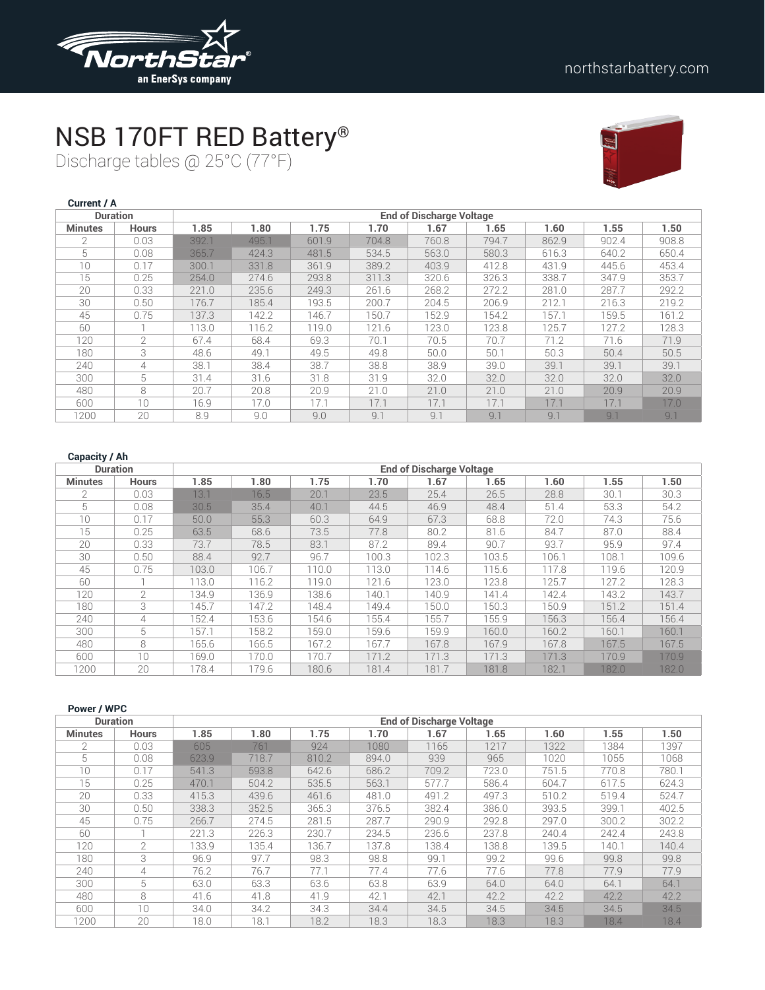

# NSB 170FT RED Battery®

Discharge tables @ 25°C (77°F)



| <b>Current / A</b> |                 |       |       |       |       |                                 |       |       |       |       |
|--------------------|-----------------|-------|-------|-------|-------|---------------------------------|-------|-------|-------|-------|
|                    | <b>Duration</b> |       |       |       |       | <b>End of Discharge Voltage</b> |       |       |       |       |
| <b>Minutes</b>     | <b>Hours</b>    | 1.85  | 1.80  | 1.75  | 1.70  | 1.67                            | 1.65  | 1.60  | 1.55  | 1.50  |
| $\mathcal{P}$      | 0.03            | 392.1 | 495.1 | 601.9 | 704.8 | 760.8                           | 794.7 | 862.9 | 902.4 | 908.8 |
| 5                  | 0.08            | 365.7 | 424.3 | 481.5 | 534.5 | 563.0                           | 580.3 | 616.3 | 640.2 | 650.4 |
| 10                 | 0.17            | 300.1 | 331.8 | 361.9 | 389.2 | 403.9                           | 412.8 | 431.9 | 445.6 | 453.4 |
| 15                 | 0.25            | 254.0 | 274.6 | 293.8 | 311.3 | 320.6                           | 326.3 | 338.7 | 347.9 | 353.7 |
| 20                 | 0.33            | 221.0 | 235.6 | 249.3 | 261.6 | 268.2                           | 272.2 | 281.0 | 287.7 | 292.2 |
| 30                 | 0.50            | 176.7 | 185.4 | 193.5 | 200.7 | 204.5                           | 206.9 | 212.1 | 216.3 | 219.2 |
| 45                 | 0.75            | 137.3 | 142.2 | 146.7 | 150.7 | 152.9                           | 154.2 | 157.1 | 159.5 | 161.2 |
| 60                 |                 | 113.0 | 116.2 | 119.0 | 121.6 | 123.0                           | 123.8 | 125.7 | 127.2 | 128.3 |
| 120                | $\overline{2}$  | 67.4  | 68.4  | 69.3  | 70.1  | 70.5                            | 70.7  | 71.2  | 71.6  | 71.9  |
| 180                | 3               | 48.6  | 49.1  | 49.5  | 49.8  | 50.0                            | 50.1  | 50.3  | 50.4  | 50.5  |
| 240                | 4               | 38.1  | 38.4  | 38.7  | 38.8  | 38.9                            | 39.0  | 39.1  | 39.1  | 39.1  |
| 300                | 5               | 31.4  | 31.6  | 31.8  | 31.9  | 32.0                            | 32.0  | 32.0  | 32.0  | 32.0  |
| 480                | 8               | 20.7  | 20.8  | 20.9  | 21.0  | 21.0                            | 21.0  | 21.0  | 20.9  | 20.9  |
| 600                | 10              | 16.9  | 17.0  | 17.1  | 17.1  | 17.1                            | 17.1  | 17.1  | 17.1  | 17.0  |
| 1200               | 20              | 8.9   | 9.0   | 9.0   | 9.1   | 9.1                             | 9.1   | 9.1   | 9.7   | 9.1   |

| <b>Duration</b> |               |       |       |       |       | <b>End of Discharge Voltage</b> |       |       |       |       |
|-----------------|---------------|-------|-------|-------|-------|---------------------------------|-------|-------|-------|-------|
| <b>Minutes</b>  | <b>Hours</b>  | 1.85  | 1.80  | 1.75  | 1.70  | 1.67                            | 1.65  | 1.60  | 1.55  | 1.50  |
| $\mathfrak{D}$  | 0.03          | 13.1  | 16.5  | 20.1  | 23.5  | 25.4                            | 26.5  | 28.8  | 30.1  | 30.3  |
| 5               | 0.08          | 30.5  | 35.4  | 40.1  | 44.5  | 46.9                            | 48.4  | 51.4  | 53.3  | 54.2  |
| 10              | 0.17          | 50.0  | 55.3  | 60.3  | 64.9  | 67.3                            | 68.8  | 72.0  | 74.3  | 75.6  |
| 15              | 0.25          | 63.5  | 68.6  | 73.5  | 77.8  | 80.2                            | 81.6  | 84.7  | 87.0  | 88.4  |
| 20              | 0.33          | 73.7  | 78.5  | 83.1  | 87.2  | 89.4                            | 90.7  | 93.7  | 95.9  | 97.4  |
| 30              | 0.50          | 88.4  | 92.7  | 96.7  | 100.3 | 102.3                           | 103.5 | 106.1 | 108.1 | 109.6 |
| 45              | 0.75          | 103.0 | 106.7 | 110.0 | 113.0 | 114.6                           | 115.6 | 117.8 | 119.6 | 120.9 |
| 60              |               | 113.0 | 116.2 | 119.0 | 121.6 | 123.0                           | 123.8 | 125.7 | 127.2 | 128.3 |
| 120             | $\mathcal{L}$ | 134.9 | 136.9 | 138.6 | 140.1 | 140.9                           | 141.4 | 142.4 | 143.2 | 143.7 |
| 180             | 3             | 145.7 | 147.2 | 148.4 | 149.4 | 150.0                           | 150.3 | 150.9 | 151.2 | 151.4 |
| 240             | 4             | 152.4 | 153.6 | 154.6 | 155.4 | 155.7                           | 155.9 | 156.3 | 156.4 | 156.4 |
| 300             | 5             | 157.1 | 158.2 | 159.0 | 159.6 | 159.9                           | 160.0 | 160.2 | 160.1 | 160.1 |
| 480             | 8             | 165.6 | 166.5 | 167.2 | 167.7 | 167.8                           | 167.9 | 167.8 | 167.5 | 167.5 |
| 600             | 10            | 169.0 | 170.0 | 170.7 | 171.2 | 171.3                           | 171.3 | 171.3 | 170.9 | 170.9 |
| 1200            | 20            | 178.4 | 179.6 | 180.6 | 181.4 | 181.7                           | 181.8 | 182.1 | 182.0 | 182.0 |

| Power / WPC     |              |       |       |       |       |                                 |       |       |       |       |
|-----------------|--------------|-------|-------|-------|-------|---------------------------------|-------|-------|-------|-------|
| <b>Duration</b> |              |       |       |       |       | <b>End of Discharge Voltage</b> |       |       |       |       |
| <b>Minutes</b>  | <b>Hours</b> | 1.85  | 1.80  | 1.75  | 1.70  | 1.67                            | 1.65  | 1.60  | 1.55  | 1.50  |
| $\mathfrak{D}$  | 0.03         | 605   | 761   | 924   | 1080  | 1165                            | 1217  | 1322  | 1384  | 1397  |
| 5               | 0.08         | 623.9 | 718.7 | 810.2 | 894.0 | 939                             | 965   | 1020  | 1055  | 1068  |
| 10              | 0.17         | 541.3 | 593.8 | 642.6 | 686.2 | 709.2                           | 723.0 | 751.5 | 770.8 | 780.1 |
| 15              | 0.25         | 470.1 | 504.2 | 535.5 | 563.1 | 577.7                           | 586.4 | 604.7 | 617.5 | 624.3 |
| 20              | 0.33         | 415.3 | 439.6 | 461.6 | 481.0 | 491.2                           | 497.3 | 510.2 | 519.4 | 524.7 |
| 30              | 0.50         | 338.3 | 352.5 | 365.3 | 376.5 | 382.4                           | 386.0 | 393.5 | 399.1 | 402.5 |
| 45              | 0.75         | 266.7 | 274.5 | 281.5 | 287.7 | 290.9                           | 292.8 | 297.0 | 300.2 | 302.2 |
| 60              |              | 221.3 | 226.3 | 230.7 | 234.5 | 236.6                           | 237.8 | 240.4 | 242.4 | 243.8 |
| 120             | 2            | 133.9 | 135.4 | 136.7 | 137.8 | 138.4                           | 138.8 | 139.5 | 140.1 | 140.4 |
| 180             | 3            | 96.9  | 97.7  | 98.3  | 98.8  | 99.1                            | 99.2  | 99.6  | 99.8  | 99.8  |
| 240             | 4            | 76.2  | 76.7  | 77.1  | 77.4  | 77.6                            | 77.6  | 77.8  | 77.9  | 77.9  |
| 300             | 5            | 63.0  | 63.3  | 63.6  | 63.8  | 63.9                            | 64.0  | 64.0  | 64.1  | 64.1  |
| 480             | 8            | 41.6  | 41.8  | 41.9  | 42.1  | 42.1                            | 42.2  | 42.2  | 42.2  | 42.2  |
| 600             | 10           | 34.0  | 34.2  | 34.3  | 34.4  | 34.5                            | 34.5  | 34.5  | 34.5  | 34.5  |
| 1200            | 20           | 18.0  | 18.1  | 18.2  | 18.3  | 18.3                            | 18.3  | 18.3  | 18.4  | 18.4  |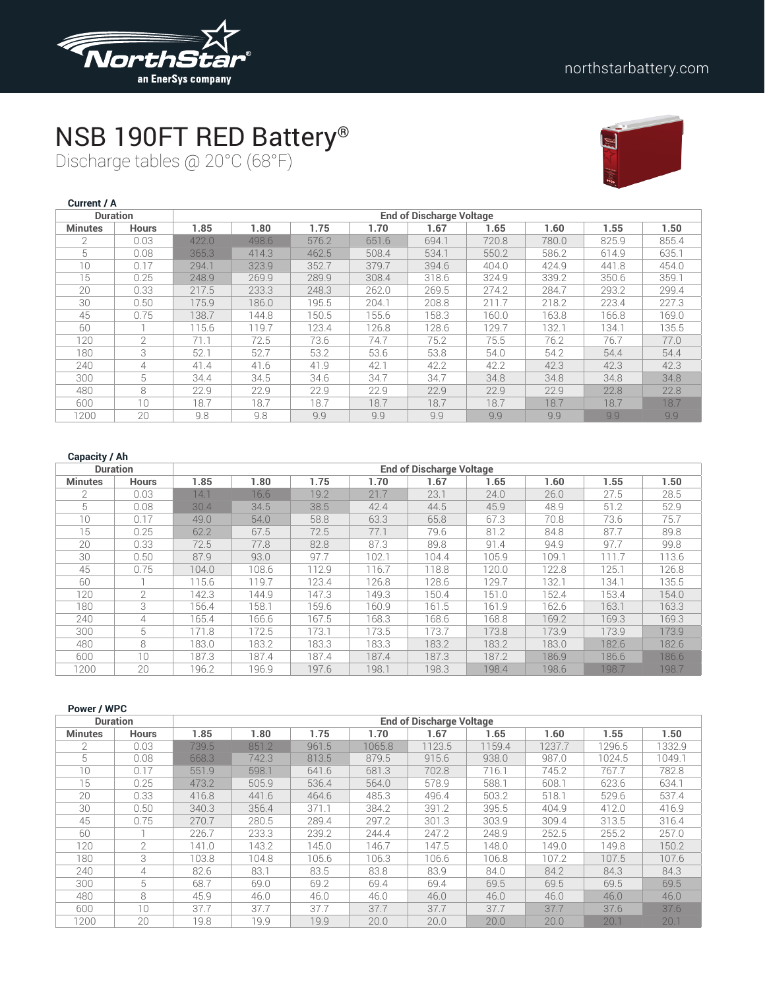

### NSB 190FT RED Battery®

Discharge tables @ 20°C (68°F)



| Current / A     |                 |       |       |       |       |                                 |       |       |       |       |
|-----------------|-----------------|-------|-------|-------|-------|---------------------------------|-------|-------|-------|-------|
|                 | <b>Duration</b> |       |       |       |       | <b>End of Discharge Voltage</b> |       |       |       |       |
| <b>Minutes</b>  | <b>Hours</b>    | 1.85  | 1.80  | 1.75  | 1.70  | 1.67                            | 1.65  | 1.60  | 1.55  | 1.50  |
| $\mathfrak{D}$  | 0.03            | 422.0 | 498.6 | 576.2 | 651.6 | 694.1                           | 720.8 | 780.0 | 825.9 | 855.4 |
| 5               | 0.08            | 365.3 | 414.3 | 462.5 | 508.4 | 534.1                           | 550.2 | 586.2 | 614.9 | 635.1 |
| 10 <sup>°</sup> | 0.17            | 294.1 | 323.9 | 352.7 | 379.7 | 394.6                           | 404.0 | 424.9 | 441.8 | 454.0 |
| 15              | 0.25            | 248.9 | 269.9 | 289.9 | 308.4 | 318.6                           | 324.9 | 339.2 | 350.6 | 359.1 |
| 20              | 0.33            | 217.5 | 233.3 | 248.3 | 262.0 | 269.5                           | 274.2 | 284.7 | 293.2 | 299.4 |
| 30              | 0.50            | 175.9 | 186.0 | 195.5 | 204.1 | 208.8                           | 211.7 | 218.2 | 223.4 | 227.3 |
| 45              | 0.75            | 138.7 | 144.8 | 150.5 | 155.6 | 158.3                           | 160.0 | 163.8 | 166.8 | 169.0 |
| 60              |                 | 115.6 | 119.7 | 123.4 | 126.8 | 128.6                           | 129.7 | 132.1 | 134.1 | 135.5 |
| 120             | $\mathfrak{D}$  | 71.1  | 72.5  | 73.6  | 74.7  | 75.2                            | 75.5  | 76.2  | 76.7  | 77.0  |
| 180             | 3               | 52.1  | 52.7  | 53.2  | 53.6  | 53.8                            | 54.0  | 54.2  | 54.4  | 54.4  |
| 240             | 4               | 41.4  | 41.6  | 41.9  | 42.1  | 42.2                            | 42.2  | 42.3  | 42.3  | 42.3  |
| 300             | 5               | 34.4  | 34.5  | 34.6  | 34.7  | 34.7                            | 34.8  | 34.8  | 34.8  | 34.8  |
| 480             | 8               | 22.9  | 22.9  | 22.9  | 22.9  | 22.9                            | 22.9  | 22.9  | 22.8  | 22.8  |
| 600             | 10              | 18.7  | 18.7  | 18.7  | 18.7  | 18.7                            | 18.7  | 18.7  | 18.7  | 18.7  |
| 1200            | 20              | 9.8   | 9.8   | 9.9   | 9.9   | 9.9                             | 9.9   | 9.9   | 9.9   | 9.9   |

| <b>Duration</b> |                |       |       |       |       | <b>End of Discharge Voltage</b> |       |       |       |       |  |
|-----------------|----------------|-------|-------|-------|-------|---------------------------------|-------|-------|-------|-------|--|
| <b>Minutes</b>  | <b>Hours</b>   | 1.85  | 1.80  | 1.75  | 1.70  | 1.67                            | 1.65  | 1.60  | 1.55  | 1.50  |  |
| $\mathcal{P}$   | 0.03           | 14.1  | 16.6  | 19.2  | 21.7  | 23.1                            | 24.0  | 26.0  | 27.5  | 28.5  |  |
| 5               | 0.08           | 30.4  | 34.5  | 38.5  | 42.4  | 44.5                            | 45.9  | 48.9  | 51.2  | 52.9  |  |
| 10              | 0.17           | 49.0  | 54.0  | 58.8  | 63.3  | 65.8                            | 67.3  | 70.8  | 73.6  | 75.7  |  |
| 15              | 0.25           | 62.2  | 67.5  | 72.5  | 77.1  | 79.6                            | 81.2  | 84.8  | 87.7  | 89.8  |  |
| 20              | 0.33           | 72.5  | 77.8  | 82.8  | 87.3  | 89.8                            | 91.4  | 94.9  | 97.7  | 99.8  |  |
| 30              | 0.50           | 87.9  | 93.0  | 97.7  | 102.1 | 104.4                           | 105.9 | 109.1 | 111.7 | 113.6 |  |
| 45              | 0.75           | 104.0 | 108.6 | 112.9 | 116.7 | 118.8                           | 120.0 | 122.8 | 125.1 | 126.8 |  |
| 60              |                | 115.6 | 119.7 | 123.4 | 126.8 | 128.6                           | 129.7 | 132.1 | 134.1 | 135.5 |  |
| 120             | $\overline{2}$ | 142.3 | 144.9 | 147.3 | 149.3 | 150.4                           | 151.0 | 152.4 | 153.4 | 154.0 |  |
| 180             | 3              | 156.4 | 158.1 | 159.6 | 160.9 | 161.5                           | 161.9 | 162.6 | 163.1 | 163.3 |  |
| 240             | 4              | 165.4 | 166.6 | 167.5 | 168.3 | 168.6                           | 168.8 | 169.2 | 169.3 | 169.3 |  |
| 300             | 5              | 171.8 | 172.5 | 173.1 | 173.5 | 173.7                           | 173.8 | 173.9 | 173.9 | 173.9 |  |
| 480             | 8              | 183.0 | 183.2 | 183.3 | 183.3 | 183.2                           | 183.2 | 183.0 | 182.6 | 182.6 |  |
| 600             | 10             | 187.3 | 187.4 | 187.4 | 187.4 | 187.3                           | 187.2 | 186.9 | 186.6 | 186.6 |  |
| 1200            | 20             | 196.2 | 196.9 | 197.6 | 198.1 | 198.3                           | 198.4 | 198.6 | 198.7 | 198.7 |  |

| Power / WPC    |                 |       |       |       |        |                                 |        |        |        |        |
|----------------|-----------------|-------|-------|-------|--------|---------------------------------|--------|--------|--------|--------|
|                | <b>Duration</b> |       |       |       |        | <b>End of Discharge Voltage</b> |        |        |        |        |
| <b>Minutes</b> | <b>Hours</b>    | 1.85  | 1.80  | 1.75  | 1.70   | 1.67                            | 1.65   | 1.60   | 1.55   | 1.50   |
| $\mathfrak{D}$ | 0.03            | 739.5 | 851.2 | 961.5 | 1065.8 | 1123.5                          | 1159.4 | 1237.7 | 1296.5 | 1332.9 |
| 5              | 0.08            | 668.3 | 742.3 | 813.5 | 879.5  | 915.6                           | 938.0  | 987.0  | 1024.5 | 1049.1 |
| 10             | 0.17            | 551.9 | 598.1 | 641.6 | 681.3  | 702.8                           | 716.1  | 745.2  | 767.7  | 782.8  |
| 15             | 0.25            | 473.2 | 505.9 | 536.4 | 564.0  | 578.9                           | 588.1  | 608.1  | 623.6  | 634.1  |
| 20             | 0.33            | 416.8 | 441.6 | 464.6 | 485.3  | 496.4                           | 503.2  | 518.1  | 529.6  | 537.4  |
| 30             | 0.50            | 340.3 | 356.4 | 371.1 | 384.2  | 391.2                           | 395.5  | 404.9  | 412.0  | 416.9  |
| 45             | 0.75            | 270.7 | 280.5 | 289.4 | 297.2  | 301.3                           | 303.9  | 309.4  | 313.5  | 316.4  |
| 60             |                 | 226.7 | 233.3 | 239.2 | 244.4  | 247.2                           | 248.9  | 252.5  | 255.2  | 257.0  |
| 120            | 2               | 141.0 | 143.2 | 145.0 | 146.7  | 147.5                           | 148.0  | 149.0  | 149.8  | 150.2  |
| 180            | 3               | 103.8 | 104.8 | 105.6 | 106.3  | 106.6                           | 106.8  | 107.2  | 107.5  | 107.6  |
| 240            | 4               | 82.6  | 83.1  | 83.5  | 83.8   | 83.9                            | 84.0   | 84.2   | 84.3   | 84.3   |
| 300            | 5               | 68.7  | 69.0  | 69.2  | 69.4   | 69.4                            | 69.5   | 69.5   | 69.5   | 69.5   |
| 480            | 8               | 45.9  | 46.0  | 46.0  | 46.0   | 46.0                            | 46.0   | 46.0   | 46.0   | 46.0   |
| 600            | 10              | 37.7  | 37.7  | 37.7  | 37.7   | 37.7                            | 37.7   | 37.7   | 37.6   | 37.6   |
| 1200           | 20              | 19.8  | 19.9  | 19.9  | 20.0   | 20.0                            | 20.0   | 20.0   | 20.1   | 20.1   |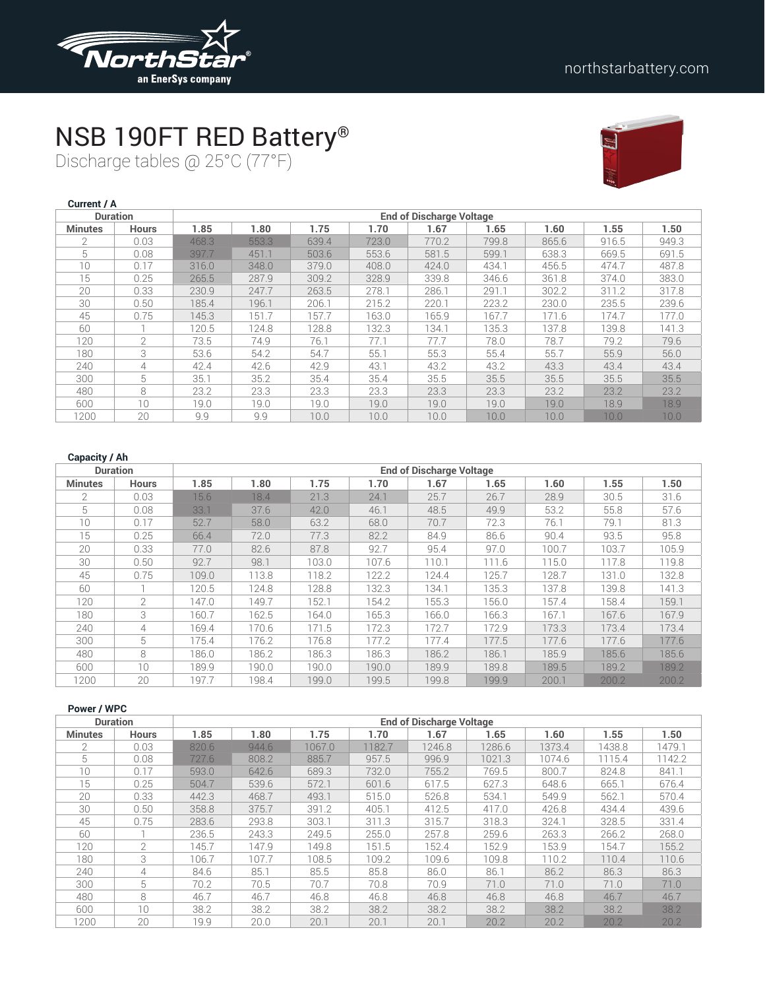

## NSB 190FT RED Battery®

Discharge tables @ 25°C (77°F)



| <b>Current / A</b> |                 |       |       |       |       |                                 |       |       |       |       |
|--------------------|-----------------|-------|-------|-------|-------|---------------------------------|-------|-------|-------|-------|
|                    | <b>Duration</b> |       |       |       |       | <b>End of Discharge Voltage</b> |       |       |       |       |
| <b>Minutes</b>     | <b>Hours</b>    | 1.85  | 1.80  | 1.75  | 1.70  | 1.67                            | 1.65  | 1.60  | 1.55  | 1.50  |
| 2                  | 0.03            | 468.3 | 553.3 | 639.4 | 723.0 | 770.2                           | 799.8 | 865.6 | 916.5 | 949.3 |
| 5                  | 0.08            | 397.7 | 451.1 | 503.6 | 553.6 | 581.5                           | 599.1 | 638.3 | 669.5 | 691.5 |
| 10                 | 0.17            | 316.0 | 348.0 | 379.0 | 408.0 | 424.0                           | 434.1 | 456.5 | 474.7 | 487.8 |
| 15                 | 0.25            | 265.5 | 287.9 | 309.2 | 328.9 | 339.8                           | 346.6 | 361.8 | 374.0 | 383.0 |
| 20                 | 0.33            | 230.9 | 247.7 | 263.5 | 278.1 | 286.1                           | 291.1 | 302.2 | 311.2 | 317.8 |
| 30                 | 0.50            | 185.4 | 196.1 | 206.1 | 215.2 | 220.1                           | 223.2 | 230.0 | 235.5 | 239.6 |
| 45                 | 0.75            | 145.3 | 151.7 | 157.7 | 163.0 | 165.9                           | 167.7 | 171.6 | 174.7 | 177.0 |
| 60                 |                 | 120.5 | 124.8 | 128.8 | 132.3 | 134.1                           | 135.3 | 137.8 | 139.8 | 141.3 |
| 120                | $\overline{2}$  | 73.5  | 74.9  | 76.1  | 77.1  | 77.7                            | 78.0  | 78.7  | 79.2  | 79.6  |
| 180                | 3               | 53.6  | 54.2  | 54.7  | 55.1  | 55.3                            | 55.4  | 55.7  | 55.9  | 56.0  |
| 240                | 4               | 42.4  | 42.6  | 42.9  | 43.1  | 43.2                            | 43.2  | 43.3  | 43.4  | 43.4  |
| 300                | 5               | 35.1  | 35.2  | 35.4  | 35.4  | 35.5                            | 35.5  | 35.5  | 35.5  | 35.5  |
| 480                | 8               | 23.2  | 23.3  | 23.3  | 23.3  | 23.3                            | 23.3  | 23.2  | 23.2  | 23.2  |
| 600                | 10              | 19.0  | 19.0  | 19.0  | 19.0  | 19.0                            | 19.0  | 19.0  | 18.9  | 18.9  |
| 1200               | 20              | 9.9   | 9.9   | 10.0  | 10.0  | 10.0                            | 10.0  | 10.0  | 10.0  | 10.0  |

|                | <b>Duration</b> | <b>End of Discharge Voltage</b> |       |       |       |       |       |       |       |       |  |
|----------------|-----------------|---------------------------------|-------|-------|-------|-------|-------|-------|-------|-------|--|
| <b>Minutes</b> | <b>Hours</b>    | 1.85                            | 1.80  | 1.75  | 1.70  | 1.67  | 1.65  | 1.60  | 1.55  | 1.50  |  |
|                | 0.03            | 15.6                            | 18.4  | 21.3  | 24.1  | 25.7  | 26.7  | 28.9  | 30.5  | 31.6  |  |
| 5              | 0.08            | 33.1                            | 37.6  | 42.0  | 46.1  | 48.5  | 49.9  | 53.2  | 55.8  | 57.6  |  |
| 10             | 0.17            | 52.7                            | 58.0  | 63.2  | 68.0  | 70.7  | 72.3  | 76.1  | 79.1  | 81.3  |  |
| 15             | 0.25            | 66.4                            | 72.0  | 77.3  | 82.2  | 84.9  | 86.6  | 90.4  | 93.5  | 95.8  |  |
| 20             | 0.33            | 77.0                            | 82.6  | 87.8  | 92.7  | 95.4  | 97.0  | 100.7 | 103.7 | 105.9 |  |
| 30             | 0.50            | 92.7                            | 98.1  | 103.0 | 107.6 | 110.1 | 111.6 | 115.0 | 117.8 | 119.8 |  |
| 45             | 0.75            | 109.0                           | 113.8 | 118.2 | 122.2 | 124.4 | 125.7 | 128.7 | 131.0 | 132.8 |  |
| 60             |                 | 120.5                           | 124.8 | 128.8 | 132.3 | 134.1 | 135.3 | 137.8 | 139.8 | 141.3 |  |
| 120            | $\mathcal{P}$   | 147.0                           | 149.7 | 152.1 | 154.2 | 155.3 | 156.0 | 157.4 | 158.4 | 159.1 |  |
| 180            | 3               | 160.7                           | 162.5 | 164.0 | 165.3 | 166.0 | 166.3 | 167.1 | 167.6 | 167.9 |  |
| 240            | 4               | 169.4                           | 170.6 | 171.5 | 172.3 | 172.7 | 172.9 | 173.3 | 173.4 | 173.4 |  |
| 300            | 5               | 175.4                           | 176.2 | 176.8 | 177.2 | 177.4 | 177.5 | 177.6 | 177.6 | 177.6 |  |
| 480            | 8               | 186.0                           | 186.2 | 186.3 | 186.3 | 186.2 | 186.1 | 185.9 | 185.6 | 185.6 |  |
| 600            | 10              | 189.9                           | 190.0 | 190.0 | 190.0 | 189.9 | 189.8 | 189.5 | 189.2 | 189.2 |  |
| 1200           | 20              | 197.7                           | 198.4 | 199.0 | 199.5 | 199.8 | 199.9 | 200.1 | 200.2 | 200.2 |  |

|  |  | Power / WPC |  |  |
|--|--|-------------|--|--|
|--|--|-------------|--|--|

| <b>Duration</b> |                | <b>End of Discharge Voltage</b> |       |        |        |        |        |        |        |        |  |  |
|-----------------|----------------|---------------------------------|-------|--------|--------|--------|--------|--------|--------|--------|--|--|
| <b>Minutes</b>  | <b>Hours</b>   | 1.85                            | 1.80  | 1.75   | 1.70   | 1.67   | 1.65   | 1.60   | 1.55   | 1.50   |  |  |
| $\mathfrak{D}$  | 0.03           | 820.6                           | 944.6 | 1067.0 | 1182.7 | 1246.8 | 1286.6 | 1373.4 | 1438.8 | 1479.1 |  |  |
| 5               | 0.08           | 727.6                           | 808.2 | 885.7  | 957.5  | 996.9  | 1021.3 | 1074.6 | 1115.4 | 1142.2 |  |  |
| 10              | 0.17           | 593.0                           | 642.6 | 689.3  | 732.0  | 755.2  | 769.5  | 800.7  | 824.8  | 841.1  |  |  |
| 15              | 0.25           | 504.7                           | 539.6 | 572.1  | 601.6  | 617.5  | 627.3  | 648.6  | 665.1  | 676.4  |  |  |
| 20              | 0.33           | 442.3                           | 468.7 | 493.1  | 515.0  | 526.8  | 534.1  | 549.9  | 562.1  | 570.4  |  |  |
| 30              | 0.50           | 358.8                           | 375.7 | 391.2  | 405.1  | 412.5  | 417.0  | 426.8  | 434.4  | 439.6  |  |  |
| 45              | 0.75           | 283.6                           | 293.8 | 303.1  | 311.3  | 315.7  | 318.3  | 324.1  | 328.5  | 331.4  |  |  |
| 60              |                | 236.5                           | 243.3 | 249.5  | 255.0  | 257.8  | 259.6  | 263.3  | 266.2  | 268.0  |  |  |
| 120             | $\mathfrak{D}$ | 145.7                           | 147.9 | 149.8  | 151.5  | 152.4  | 152.9  | 153.9  | 154.7  | 155.2  |  |  |
| 180             | 3              | 106.7                           | 107.7 | 108.5  | 109.2  | 109.6  | 109.8  | 110.2  | 110.4  | 110.6  |  |  |
| 240             | 4              | 84.6                            | 85.1  | 85.5   | 85.8   | 86.0   | 86.1   | 86.2   | 86.3   | 86.3   |  |  |
| 300             | 5              | 70.2                            | 70.5  | 70.7   | 70.8   | 70.9   | 71.0   | 71.0   | 71.0   | 71.0   |  |  |
| 480             | 8              | 46.7                            | 46.7  | 46.8   | 46.8   | 46.8   | 46.8   | 46.8   | 46.7   | 46.7   |  |  |
| 600             | 10             | 38.2                            | 38.2  | 38.2   | 38.2   | 38.2   | 38.2   | 38.2   | 38.2   | 38.2   |  |  |
| 1200            | 20             | 19.9                            | 20.0  | 20.1   | 20.1   | 20.1   | 20.2   | 20.2   | 20.2   | 20.2   |  |  |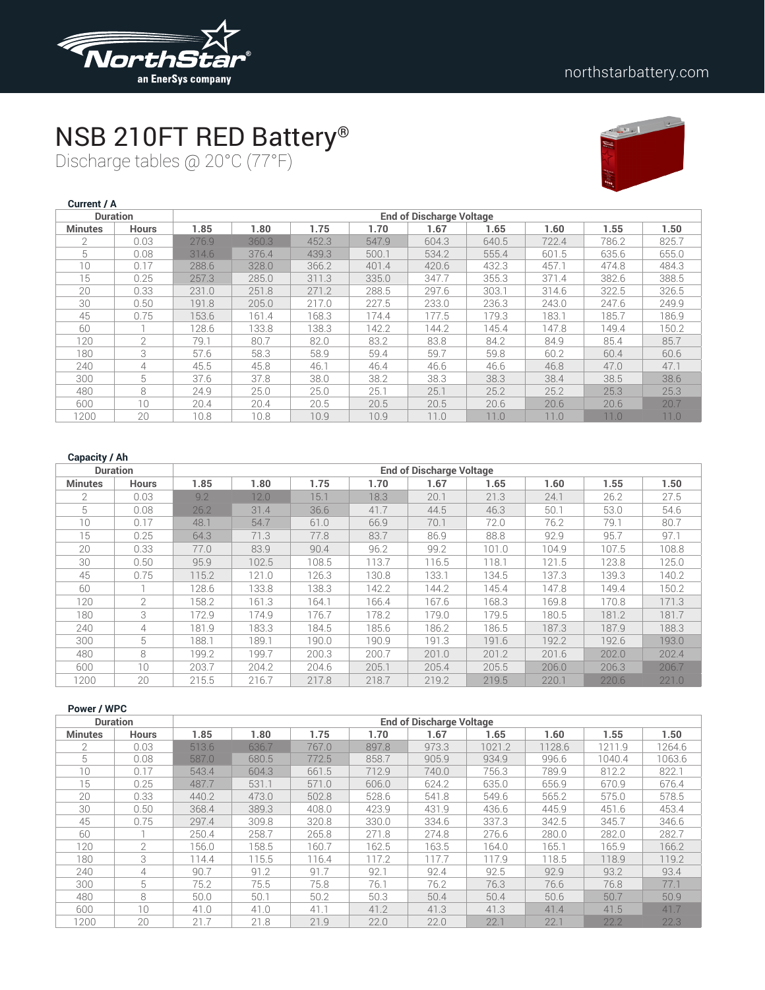

# NSB 210FT RED Battery®

Discharge tables @ 20°C (77°F)



| Current / A    |                 |                                 |       |       |       |       |       |       |       |       |  |  |
|----------------|-----------------|---------------------------------|-------|-------|-------|-------|-------|-------|-------|-------|--|--|
|                | <b>Duration</b> | <b>End of Discharge Voltage</b> |       |       |       |       |       |       |       |       |  |  |
| <b>Minutes</b> | <b>Hours</b>    | 1.85                            | 1.80  | 1.75  | 1.70  | 1.67  | 1.65  | 1.60  | 1.55  | 1.50  |  |  |
| $\overline{2}$ | 0.03            | 276.9                           | 360.3 | 452.3 | 547.9 | 604.3 | 640.5 | 722.4 | 786.2 | 825.7 |  |  |
| 5              | 0.08            | 314.6                           | 376.4 | 439.3 | 500.1 | 534.2 | 555.4 | 601.5 | 635.6 | 655.0 |  |  |
| 10             | 0.17            | 288.6                           | 328.0 | 366.2 | 401.4 | 420.6 | 432.3 | 457.1 | 474.8 | 484.3 |  |  |
| 15             | 0.25            | 257.3                           | 285.0 | 311.3 | 335.0 | 347.7 | 355.3 | 371.4 | 382.6 | 388.5 |  |  |
| 20             | 0.33            | 231.0                           | 251.8 | 271.2 | 288.5 | 297.6 | 303.1 | 314.6 | 322.5 | 326.5 |  |  |
| 30             | 0.50            | 191.8                           | 205.0 | 217.0 | 227.5 | 233.0 | 236.3 | 243.0 | 247.6 | 249.9 |  |  |
| 45             | 0.75            | 153.6                           | 161.4 | 168.3 | 174.4 | 177.5 | 179.3 | 183.1 | 185.7 | 186.9 |  |  |
| 60             |                 | 128.6                           | 133.8 | 138.3 | 142.2 | 144.2 | 145.4 | 147.8 | 149.4 | 150.2 |  |  |
| 120            | $\mathfrak{D}$  | 79.1                            | 80.7  | 82.0  | 83.2  | 83.8  | 84.2  | 84.9  | 85.4  | 85.7  |  |  |
| 180            | 3               | 57.6                            | 58.3  | 58.9  | 59.4  | 59.7  | 59.8  | 60.2  | 60.4  | 60.6  |  |  |
| 240            | 4               | 45.5                            | 45.8  | 46.1  | 46.4  | 46.6  | 46.6  | 46.8  | 47.0  | 47.1  |  |  |
| 300            | 5               | 37.6                            | 37.8  | 38.0  | 38.2  | 38.3  | 38.3  | 38.4  | 38.5  | 38.6  |  |  |
| 480            | 8               | 24.9                            | 25.0  | 25.0  | 25.1  | 25.1  | 25.2  | 25.2  | 25.3  | 25.3  |  |  |
| 600            | 10              | 20.4                            | 20.4  | 20.5  | 20.5  | 20.5  | 20.6  | 20.6  | 20.6  | 20.7  |  |  |
| 1200           | 20              | 10.8                            | 10.8  | 10.9  | 10.9  | 11.0  | 11.0  | 11.0  | 11.0  | 11.0  |  |  |

#### **Capacity / Ah**

| <b>Duration</b> |                 | <b>End of Discharge Voltage</b> |       |       |       |       |       |       |       |       |  |  |
|-----------------|-----------------|---------------------------------|-------|-------|-------|-------|-------|-------|-------|-------|--|--|
| <b>Minutes</b>  | <b>Hours</b>    | 1.85                            | 1.80  | 1.75  | 1.70  | 1.67  | 1.65  | 1.60  | 1.55  | 1.50  |  |  |
| $\mathcal{P}$   | 0.03            | 9.2                             | 12.0  | 15.1  | 18.3  | 20.1  | 21.3  | 24.1  | 26.2  | 27.5  |  |  |
| 5               | 0.08            | 26.2                            | 31.4  | 36.6  | 41.7  | 44.5  | 46.3  | 50.1  | 53.0  | 54.6  |  |  |
| 10              | 0.17            | 48.1                            | 54.7  | 61.0  | 66.9  | 70.1  | 72.0  | 76.2  | 79.1  | 80.7  |  |  |
| 15              | 0.25            | 64.3                            | 71.3  | 77.8  | 83.7  | 86.9  | 88.8  | 92.9  | 95.7  | 97.1  |  |  |
| 20              | 0.33            | 77.0                            | 83.9  | 90.4  | 96.2  | 99.2  | 101.0 | 104.9 | 107.5 | 108.8 |  |  |
| 30              | 0.50            | 95.9                            | 102.5 | 108.5 | 113.7 | 116.5 | 118.1 | 121.5 | 123.8 | 125.0 |  |  |
| 45              | 0.75            | 115.2                           | 121.0 | 126.3 | 130.8 | 133.1 | 134.5 | 137.3 | 139.3 | 140.2 |  |  |
| 60              |                 | 128.6                           | 133.8 | 138.3 | 142.2 | 144.2 | 145.4 | 147.8 | 149.4 | 150.2 |  |  |
| 120             | $\mathcal{P}$   | 158.2                           | 161.3 | 164.1 | 166.4 | 167.6 | 168.3 | 169.8 | 170.8 | 171.3 |  |  |
| 180             | 3               | 172.9                           | 174.9 | 176.7 | 178.2 | 179.0 | 179.5 | 180.5 | 181.2 | 181.7 |  |  |
| 240             | 4               | 181.9                           | 183.3 | 184.5 | 185.6 | 186.2 | 186.5 | 187.3 | 187.9 | 188.3 |  |  |
| 300             | 5               | 188.1                           | 189.1 | 190.0 | 190.9 | 191.3 | 191.6 | 192.2 | 192.6 | 193.0 |  |  |
| 480             | 8               | 199.2                           | 199.7 | 200.3 | 200.7 | 201.0 | 201.2 | 201.6 | 202.0 | 202.4 |  |  |
| 600             | 10 <sup>1</sup> | 203.7                           | 204.2 | 204.6 | 205.1 | 205.4 | 205.5 | 206.0 | 206.3 | 206.7 |  |  |
| 1200            | 20              | 215.5                           | 216.7 | 217.8 | 218.7 | 219.2 | 219.5 | 220.1 | 220.6 | 221.0 |  |  |

#### **Power / WPC**

| <b>Duration</b> |                | <b>End of Discharge Voltage</b> |       |       |       |       |        |        |        |        |  |  |
|-----------------|----------------|---------------------------------|-------|-------|-------|-------|--------|--------|--------|--------|--|--|
| <b>Minutes</b>  | <b>Hours</b>   | 1.85                            | 1.80  | 1.75  | 1.70  | 1.67  | 1.65   | 1.60   | 1.55   | 1.50   |  |  |
|                 | 0.03           | 513.6                           | 636.7 | 767.0 | 897.8 | 973.3 | 1021.2 | 1128.6 | 1211.9 | 1264.6 |  |  |
| 5               | 0.08           | 587.0                           | 680.5 | 772.5 | 858.7 | 905.9 | 934.9  | 996.6  | 1040.4 | 1063.6 |  |  |
| 10              | 0.17           | 543.4                           | 604.3 | 661.5 | 712.9 | 740.0 | 756.3  | 789.9  | 812.2  | 822.1  |  |  |
| 15              | 0.25           | 487.7                           | 531.1 | 571.0 | 606.0 | 624.2 | 635.0  | 656.9  | 670.9  | 676.4  |  |  |
| 20              | 0.33           | 440.2                           | 473.0 | 502.8 | 528.6 | 541.8 | 549.6  | 565.2  | 575.0  | 578.5  |  |  |
| 30              | 0.50           | 368.4                           | 389.3 | 408.0 | 423.9 | 431.9 | 436.6  | 445.9  | 451.6  | 453.4  |  |  |
| 45              | 0.75           | 297.4                           | 309.8 | 320.8 | 330.0 | 334.6 | 337.3  | 342.5  | 345.7  | 346.6  |  |  |
| 60              |                | 250.4                           | 258.7 | 265.8 | 271.8 | 274.8 | 276.6  | 280.0  | 282.0  | 282.7  |  |  |
| 120             | $\overline{2}$ | 156.0                           | 158.5 | 160.7 | 162.5 | 163.5 | 164.0  | 165.1  | 165.9  | 166.2  |  |  |
| 180             | 3              | 114.4                           | 115.5 | 116.4 | 117.2 | 117.7 | 117.9  | 118.5  | 118.9  | 119.2  |  |  |
| 240             | 4              | 90.7                            | 91.2  | 91.7  | 92.1  | 92.4  | 92.5   | 92.9   | 93.2   | 93.4   |  |  |
| 300             | 5              | 75.2                            | 75.5  | 75.8  | 76.1  | 76.2  | 76.3   | 76.6   | 76.8   | 77.1   |  |  |
| 480             | 8              | 50.0                            | 50.1  | 50.2  | 50.3  | 50.4  | 50.4   | 50.6   | 50.7   | 50.9   |  |  |
| 600             | 10             | 41.0                            | 41.0  | 41.1  | 41.2  | 41.3  | 41.3   | 41.4   | 41.5   | 41.7   |  |  |
| 1200            | 20             | 21.7                            | 21.8  | 21.9  | 22.0  | 22.0  | 22.1   | 22.1   | 22.2   | 22.3   |  |  |